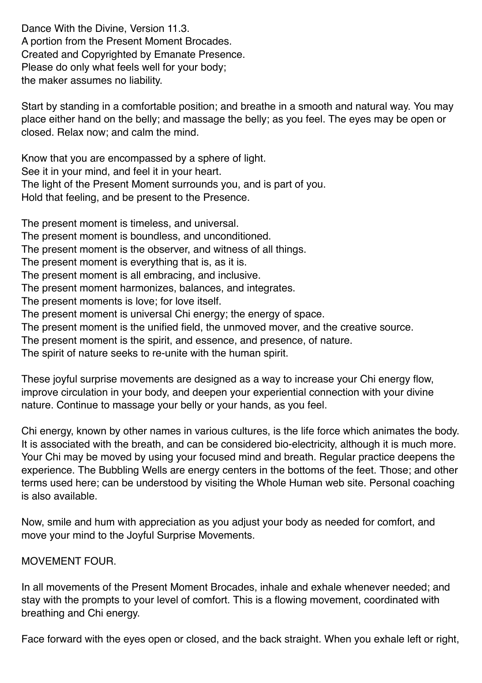Dance With the Divine, Version 11.3. A portion from the Present Moment Brocades. Created and Copyrighted by Emanate Presence. Please do only what feels well for your body; the maker assumes no liability.

Start by standing in a comfortable position; and breathe in a smooth and natural way. You may place either hand on the belly; and massage the belly; as you feel. The eyes may be open or closed. Relax now; and calm the mind.

Know that you are encompassed by a sphere of light. See it in your mind, and feel it in your heart. The light of the Present Moment surrounds you, and is part of you. Hold that feeling, and be present to the Presence.

The present moment is timeless, and universal.

- The present moment is boundless, and unconditioned.
- The present moment is the observer, and witness of all things.
- The present moment is everything that is, as it is.
- The present moment is all embracing, and inclusive.
- The present moment harmonizes, balances, and integrates.
- The present moments is love; for love itself.
- The present moment is universal Chi energy; the energy of space.
- The present moment is the unified field, the unmoved mover, and the creative source.
- The present moment is the spirit, and essence, and presence, of nature.

The spirit of nature seeks to re-unite with the human spirit.

These joyful surprise movements are designed as a way to increase your Chi energy flow, improve circulation in your body, and deepen your experiential connection with your divine nature. Continue to massage your belly or your hands, as you feel.

Chi energy, known by other names in various cultures, is the life force which animates the body. It is associated with the breath, and can be considered bio-electricity, although it is much more. Your Chi may be moved by using your focused mind and breath. Regular practice deepens the experience. The Bubbling Wells are energy centers in the bottoms of the feet. Those; and other terms used here; can be understood by visiting the Whole Human web site. Personal coaching is also available.

Now, smile and hum with appreciation as you adjust your body as needed for comfort, and move your mind to the Joyful Surprise Movements.

## MOVEMENT FOUR.

In all movements of the Present Moment Brocades, inhale and exhale whenever needed; and stay with the prompts to your level of comfort. This is a flowing movement, coordinated with breathing and Chi energy.

Face forward with the eyes open or closed, and the back straight. When you exhale left or right,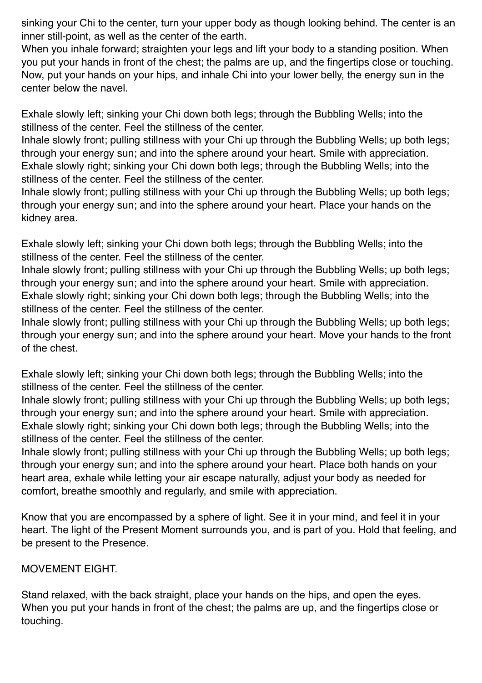sinking your Chi to the center, turn your upper body as though looking behind. The center is an inner still-point, as well as the center of the earth.

When you inhale forward; straighten your legs and lift your body to a standing position. When you put your hands in front of the chest; the palms are up, and the fingertips close or touching. Now, put your hands on your hips, and inhale Chi into your lower belly, the energy sun in the center below the navel.

Exhale slowly left; sinking your Chi down both legs; through the Bubbling Wells; into the stillness of the center. Feel the stillness of the center.

Inhale slowly front; pulling stillness with your Chi up through the Bubbling Wells; up both legs; through your energy sun; and into the sphere around your heart. Smile with appreciation. Exhale slowly right; sinking your Chi down both legs; through the Bubbling Wells; into the stillness of the center. Feel the stillness of the center.

Inhale slowly front; pulling stillness with your Chi up through the Bubbling Wells; up both legs; through your energy sun; and into the sphere around your heart. Place your hands on the kidney area.

Exhale slowly left; sinking your Chi down both legs; through the Bubbling Wells; into the stillness of the center. Feel the stillness of the center.

Inhale slowly front; pulling stillness with your Chi up through the Bubbling Wells; up both legs; through your energy sun; and into the sphere around your heart. Smile with appreciation. Exhale slowly right; sinking your Chi down both legs; through the Bubbling Wells; into the stillness of the center. Feel the stillness of the center.

Inhale slowly front; pulling stillness with your Chi up through the Bubbling Wells; up both legs; through your energy sun; and into the sphere around your heart. Move your hands to the front of the chest.

Exhale slowly left; sinking your Chi down both legs; through the Bubbling Wells; into the stillness of the center. Feel the stillness of the center.

Inhale slowly front; pulling stillness with your Chi up through the Bubbling Wells; up both legs; through your energy sun; and into the sphere around your heart. Smile with appreciation. Exhale slowly right; sinking your Chi down both legs; through the Bubbling Wells; into the stillness of the center. Feel the stillness of the center.

Inhale slowly front; pulling stillness with your Chi up through the Bubbling Wells; up both legs; through your energy sun; and into the sphere around your heart. Place both hands on your heart area, exhale while letting your air escape naturally, adjust your body as needed for comfort, breathe smoothly and regularly, and smile with appreciation.

Know that you are encompassed by a sphere of light. See it in your mind, and feel it in your heart. The light of the Present Moment surrounds you, and is part of you. Hold that feeling, and be present to the Presence.

MOVEMENT EIGHT.

Stand relaxed, with the back straight, place your hands on the hips, and open the eyes. When you put your hands in front of the chest; the palms are up, and the fingertips close or touching.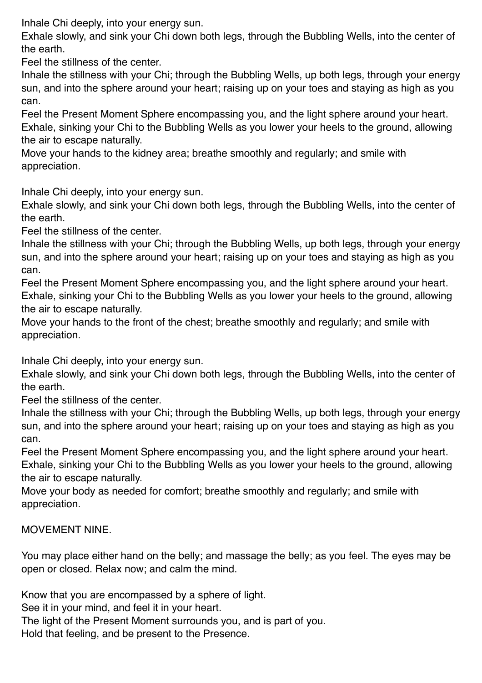Inhale Chi deeply, into your energy sun.

Exhale slowly, and sink your Chi down both legs, through the Bubbling Wells, into the center of the earth.

Feel the stillness of the center.

Inhale the stillness with your Chi; through the Bubbling Wells, up both legs, through your energy sun, and into the sphere around your heart; raising up on your toes and staying as high as you can.

Feel the Present Moment Sphere encompassing you, and the light sphere around your heart. Exhale, sinking your Chi to the Bubbling Wells as you lower your heels to the ground, allowing the air to escape naturally.

Move your hands to the kidney area; breathe smoothly and regularly; and smile with appreciation.

Inhale Chi deeply, into your energy sun.

Exhale slowly, and sink your Chi down both legs, through the Bubbling Wells, into the center of the earth.

Feel the stillness of the center.

Inhale the stillness with your Chi; through the Bubbling Wells, up both legs, through your energy sun, and into the sphere around your heart; raising up on your toes and staying as high as you can.

Feel the Present Moment Sphere encompassing you, and the light sphere around your heart. Exhale, sinking your Chi to the Bubbling Wells as you lower your heels to the ground, allowing the air to escape naturally.

Move your hands to the front of the chest; breathe smoothly and regularly; and smile with appreciation.

Inhale Chi deeply, into your energy sun.

Exhale slowly, and sink your Chi down both legs, through the Bubbling Wells, into the center of the earth.

Feel the stillness of the center.

Inhale the stillness with your Chi; through the Bubbling Wells, up both legs, through your energy sun, and into the sphere around your heart; raising up on your toes and staying as high as you can.

Feel the Present Moment Sphere encompassing you, and the light sphere around your heart. Exhale, sinking your Chi to the Bubbling Wells as you lower your heels to the ground, allowing the air to escape naturally.

Move your body as needed for comfort; breathe smoothly and regularly; and smile with appreciation.

## MOVEMENT NINE.

You may place either hand on the belly; and massage the belly; as you feel. The eyes may be open or closed. Relax now; and calm the mind.

Know that you are encompassed by a sphere of light.

See it in your mind, and feel it in your heart.

The light of the Present Moment surrounds you, and is part of you.

Hold that feeling, and be present to the Presence.